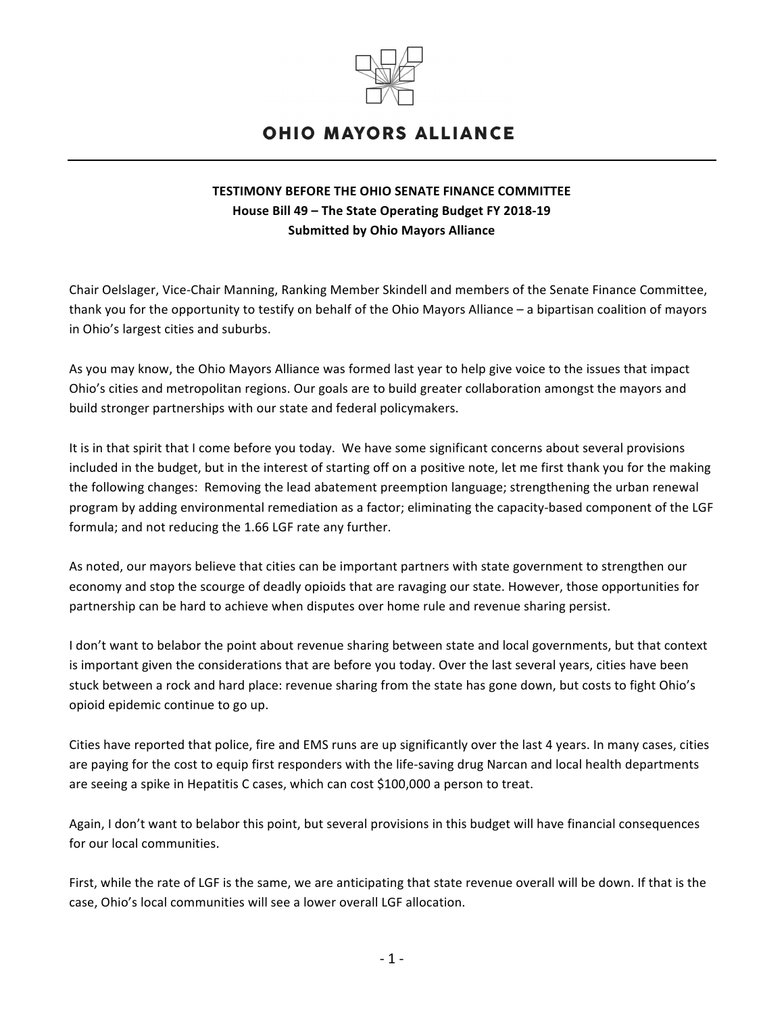

## **OHIO MAYORS ALLIANCE**

## **TESTIMONY BEFORE THE OHIO SENATE FINANCE COMMITTEE House Bill 49 – The State Operating Budget FY 2018-19 Submitted by Ohio Mayors Alliance**

Chair Oelslager, Vice-Chair Manning, Ranking Member Skindell and members of the Senate Finance Committee, thank you for the opportunity to testify on behalf of the Ohio Mayors Alliance – a bipartisan coalition of mayors in Ohio's largest cities and suburbs.

As you may know, the Ohio Mayors Alliance was formed last year to help give voice to the issues that impact Ohio's cities and metropolitan regions. Our goals are to build greater collaboration amongst the mayors and build stronger partnerships with our state and federal policymakers.

It is in that spirit that I come before you today. We have some significant concerns about several provisions included in the budget, but in the interest of starting off on a positive note, let me first thank you for the making the following changes: Removing the lead abatement preemption language; strengthening the urban renewal program by adding environmental remediation as a factor; eliminating the capacity-based component of the LGF formula; and not reducing the 1.66 LGF rate any further.

As noted, our mayors believe that cities can be important partners with state government to strengthen our economy and stop the scourge of deadly opioids that are ravaging our state. However, those opportunities for partnership can be hard to achieve when disputes over home rule and revenue sharing persist.

I don't want to belabor the point about revenue sharing between state and local governments, but that context is important given the considerations that are before you today. Over the last several years, cities have been stuck between a rock and hard place: revenue sharing from the state has gone down, but costs to fight Ohio's opioid epidemic continue to go up.

Cities have reported that police, fire and EMS runs are up significantly over the last 4 years. In many cases, cities are paying for the cost to equip first responders with the life-saving drug Narcan and local health departments are seeing a spike in Hepatitis C cases, which can cost \$100,000 a person to treat.

Again, I don't want to belabor this point, but several provisions in this budget will have financial consequences for our local communities.

First, while the rate of LGF is the same, we are anticipating that state revenue overall will be down. If that is the case, Ohio's local communities will see a lower overall LGF allocation.